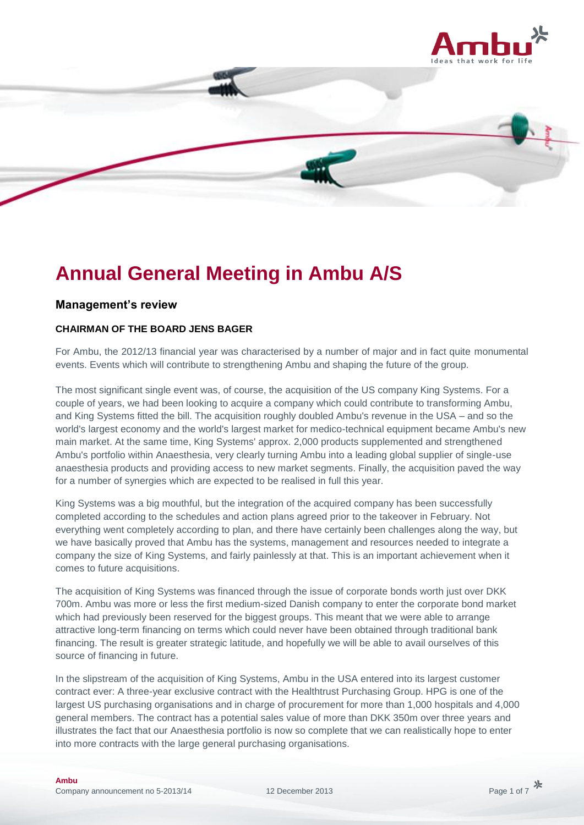



# **Annual General Meeting in Ambu A/S**

## **Management's review**

# **CHAIRMAN OF THE BOARD JENS BAGER**

For Ambu, the 2012/13 financial year was characterised by a number of major and in fact quite monumental events. Events which will contribute to strengthening Ambu and shaping the future of the group.

The most significant single event was, of course, the acquisition of the US company King Systems. For a couple of years, we had been looking to acquire a company which could contribute to transforming Ambu, and King Systems fitted the bill. The acquisition roughly doubled Ambu's revenue in the USA – and so the world's largest economy and the world's largest market for medico-technical equipment became Ambu's new main market. At the same time, King Systems' approx. 2,000 products supplemented and strengthened Ambu's portfolio within Anaesthesia, very clearly turning Ambu into a leading global supplier of single-use anaesthesia products and providing access to new market segments. Finally, the acquisition paved the way for a number of synergies which are expected to be realised in full this year.

King Systems was a big mouthful, but the integration of the acquired company has been successfully completed according to the schedules and action plans agreed prior to the takeover in February. Not everything went completely according to plan, and there have certainly been challenges along the way, but we have basically proved that Ambu has the systems, management and resources needed to integrate a company the size of King Systems, and fairly painlessly at that. This is an important achievement when it comes to future acquisitions.

The acquisition of King Systems was financed through the issue of corporate bonds worth just over DKK 700m. Ambu was more or less the first medium-sized Danish company to enter the corporate bond market which had previously been reserved for the biggest groups. This meant that we were able to arrange attractive long-term financing on terms which could never have been obtained through traditional bank financing. The result is greater strategic latitude, and hopefully we will be able to avail ourselves of this source of financing in future.

In the slipstream of the acquisition of King Systems, Ambu in the USA entered into its largest customer contract ever: A three-year exclusive contract with the Healthtrust Purchasing Group. HPG is one of the largest US purchasing organisations and in charge of procurement for more than 1,000 hospitals and 4,000 general members. The contract has a potential sales value of more than DKK 350m over three years and illustrates the fact that our Anaesthesia portfolio is now so complete that we can realistically hope to enter into more contracts with the large general purchasing organisations.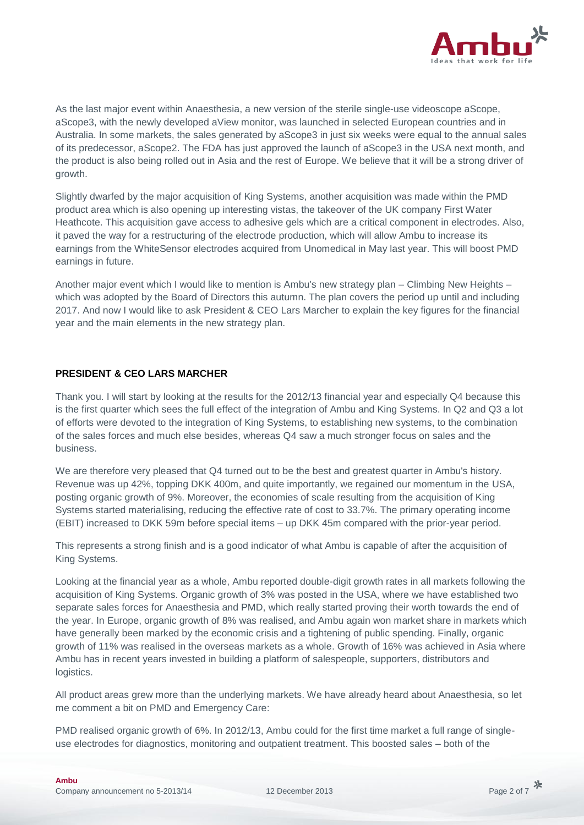

As the last major event within Anaesthesia, a new version of the sterile single-use videoscope aScope, aScope3, with the newly developed aView monitor, was launched in selected European countries and in Australia. In some markets, the sales generated by aScope3 in just six weeks were equal to the annual sales of its predecessor, aScope2. The FDA has just approved the launch of aScope3 in the USA next month, and the product is also being rolled out in Asia and the rest of Europe. We believe that it will be a strong driver of growth.

Slightly dwarfed by the major acquisition of King Systems, another acquisition was made within the PMD product area which is also opening up interesting vistas, the takeover of the UK company First Water Heathcote. This acquisition gave access to adhesive gels which are a critical component in electrodes. Also, it paved the way for a restructuring of the electrode production, which will allow Ambu to increase its earnings from the WhiteSensor electrodes acquired from Unomedical in May last year. This will boost PMD earnings in future.

Another major event which I would like to mention is Ambu's new strategy plan – Climbing New Heights – which was adopted by the Board of Directors this autumn. The plan covers the period up until and including 2017. And now I would like to ask President & CEO Lars Marcher to explain the key figures for the financial year and the main elements in the new strategy plan.

### **PRESIDENT & CEO LARS MARCHER**

Thank you. I will start by looking at the results for the 2012/13 financial year and especially Q4 because this is the first quarter which sees the full effect of the integration of Ambu and King Systems. In Q2 and Q3 a lot of efforts were devoted to the integration of King Systems, to establishing new systems, to the combination of the sales forces and much else besides, whereas Q4 saw a much stronger focus on sales and the business.

We are therefore very pleased that Q4 turned out to be the best and greatest quarter in Ambu's history. Revenue was up 42%, topping DKK 400m, and quite importantly, we regained our momentum in the USA, posting organic growth of 9%. Moreover, the economies of scale resulting from the acquisition of King Systems started materialising, reducing the effective rate of cost to 33.7%. The primary operating income (EBIT) increased to DKK 59m before special items – up DKK 45m compared with the prior-year period.

This represents a strong finish and is a good indicator of what Ambu is capable of after the acquisition of King Systems.

Looking at the financial year as a whole, Ambu reported double-digit growth rates in all markets following the acquisition of King Systems. Organic growth of 3% was posted in the USA, where we have established two separate sales forces for Anaesthesia and PMD, which really started proving their worth towards the end of the year. In Europe, organic growth of 8% was realised, and Ambu again won market share in markets which have generally been marked by the economic crisis and a tightening of public spending. Finally, organic growth of 11% was realised in the overseas markets as a whole. Growth of 16% was achieved in Asia where Ambu has in recent years invested in building a platform of salespeople, supporters, distributors and logistics.

All product areas grew more than the underlying markets. We have already heard about Anaesthesia, so let me comment a bit on PMD and Emergency Care:

PMD realised organic growth of 6%. In 2012/13, Ambu could for the first time market a full range of singleuse electrodes for diagnostics, monitoring and outpatient treatment. This boosted sales – both of the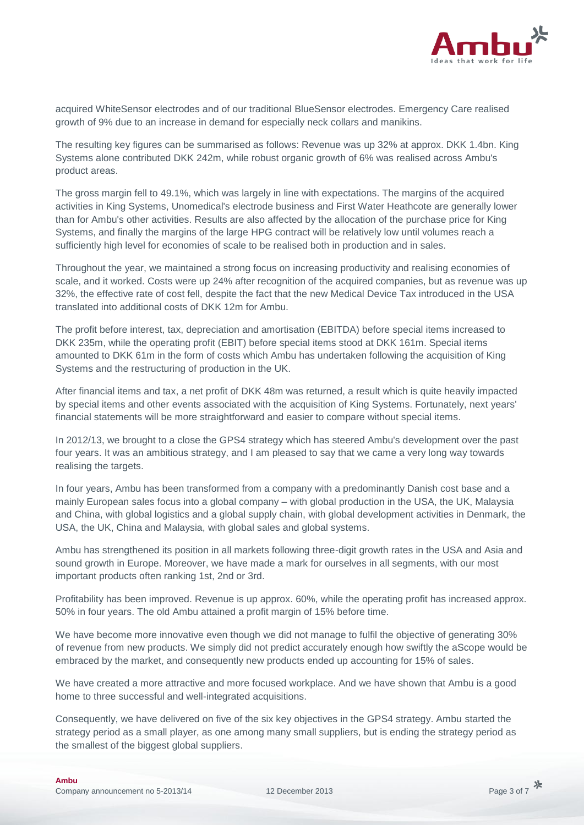

acquired WhiteSensor electrodes and of our traditional BlueSensor electrodes. Emergency Care realised growth of 9% due to an increase in demand for especially neck collars and manikins.

The resulting key figures can be summarised as follows: Revenue was up 32% at approx. DKK 1.4bn. King Systems alone contributed DKK 242m, while robust organic growth of 6% was realised across Ambu's product areas.

The gross margin fell to 49.1%, which was largely in line with expectations. The margins of the acquired activities in King Systems, Unomedical's electrode business and First Water Heathcote are generally lower than for Ambu's other activities. Results are also affected by the allocation of the purchase price for King Systems, and finally the margins of the large HPG contract will be relatively low until volumes reach a sufficiently high level for economies of scale to be realised both in production and in sales.

Throughout the year, we maintained a strong focus on increasing productivity and realising economies of scale, and it worked. Costs were up 24% after recognition of the acquired companies, but as revenue was up 32%, the effective rate of cost fell, despite the fact that the new Medical Device Tax introduced in the USA translated into additional costs of DKK 12m for Ambu.

The profit before interest, tax, depreciation and amortisation (EBITDA) before special items increased to DKK 235m, while the operating profit (EBIT) before special items stood at DKK 161m. Special items amounted to DKK 61m in the form of costs which Ambu has undertaken following the acquisition of King Systems and the restructuring of production in the UK.

After financial items and tax, a net profit of DKK 48m was returned, a result which is quite heavily impacted by special items and other events associated with the acquisition of King Systems. Fortunately, next years' financial statements will be more straightforward and easier to compare without special items.

In 2012/13, we brought to a close the GPS4 strategy which has steered Ambu's development over the past four years. It was an ambitious strategy, and I am pleased to say that we came a very long way towards realising the targets.

In four years, Ambu has been transformed from a company with a predominantly Danish cost base and a mainly European sales focus into a global company – with global production in the USA, the UK, Malaysia and China, with global logistics and a global supply chain, with global development activities in Denmark, the USA, the UK, China and Malaysia, with global sales and global systems.

Ambu has strengthened its position in all markets following three-digit growth rates in the USA and Asia and sound growth in Europe. Moreover, we have made a mark for ourselves in all segments, with our most important products often ranking 1st, 2nd or 3rd.

Profitability has been improved. Revenue is up approx. 60%, while the operating profit has increased approx. 50% in four years. The old Ambu attained a profit margin of 15% before time.

We have become more innovative even though we did not manage to fulfil the objective of generating 30% of revenue from new products. We simply did not predict accurately enough how swiftly the aScope would be embraced by the market, and consequently new products ended up accounting for 15% of sales.

We have created a more attractive and more focused workplace. And we have shown that Ambu is a good home to three successful and well-integrated acquisitions.

Consequently, we have delivered on five of the six key objectives in the GPS4 strategy. Ambu started the strategy period as a small player, as one among many small suppliers, but is ending the strategy period as the smallest of the biggest global suppliers.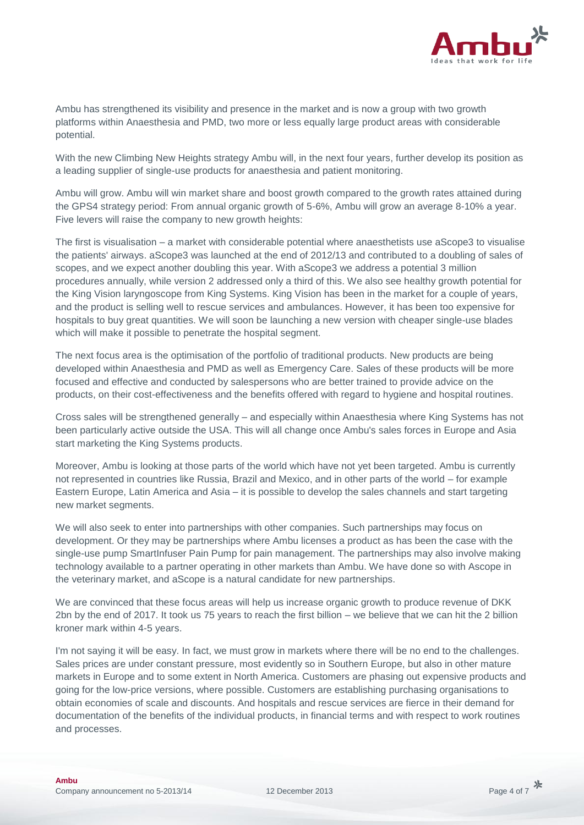

Ambu has strengthened its visibility and presence in the market and is now a group with two growth platforms within Anaesthesia and PMD, two more or less equally large product areas with considerable potential.

With the new Climbing New Heights strategy Ambu will, in the next four years, further develop its position as a leading supplier of single-use products for anaesthesia and patient monitoring.

Ambu will grow. Ambu will win market share and boost growth compared to the growth rates attained during the GPS4 strategy period: From annual organic growth of 5-6%, Ambu will grow an average 8-10% a year. Five levers will raise the company to new growth heights:

The first is visualisation – a market with considerable potential where anaesthetists use aScope3 to visualise the patients' airways. aScope3 was launched at the end of 2012/13 and contributed to a doubling of sales of scopes, and we expect another doubling this year. With aScope3 we address a potential 3 million procedures annually, while version 2 addressed only a third of this. We also see healthy growth potential for the King Vision laryngoscope from King Systems. King Vision has been in the market for a couple of years, and the product is selling well to rescue services and ambulances. However, it has been too expensive for hospitals to buy great quantities. We will soon be launching a new version with cheaper single-use blades which will make it possible to penetrate the hospital segment.

The next focus area is the optimisation of the portfolio of traditional products. New products are being developed within Anaesthesia and PMD as well as Emergency Care. Sales of these products will be more focused and effective and conducted by salespersons who are better trained to provide advice on the products, on their cost-effectiveness and the benefits offered with regard to hygiene and hospital routines.

Cross sales will be strengthened generally – and especially within Anaesthesia where King Systems has not been particularly active outside the USA. This will all change once Ambu's sales forces in Europe and Asia start marketing the King Systems products.

Moreover, Ambu is looking at those parts of the world which have not yet been targeted. Ambu is currently not represented in countries like Russia, Brazil and Mexico, and in other parts of the world – for example Eastern Europe, Latin America and Asia – it is possible to develop the sales channels and start targeting new market segments.

We will also seek to enter into partnerships with other companies. Such partnerships may focus on development. Or they may be partnerships where Ambu licenses a product as has been the case with the single-use pump SmartInfuser Pain Pump for pain management. The partnerships may also involve making technology available to a partner operating in other markets than Ambu. We have done so with Ascope in the veterinary market, and aScope is a natural candidate for new partnerships.

We are convinced that these focus areas will help us increase organic growth to produce revenue of DKK 2bn by the end of 2017. It took us 75 years to reach the first billion – we believe that we can hit the 2 billion kroner mark within 4-5 years.

I'm not saying it will be easy. In fact, we must grow in markets where there will be no end to the challenges. Sales prices are under constant pressure, most evidently so in Southern Europe, but also in other mature markets in Europe and to some extent in North America. Customers are phasing out expensive products and going for the low-price versions, where possible. Customers are establishing purchasing organisations to obtain economies of scale and discounts. And hospitals and rescue services are fierce in their demand for documentation of the benefits of the individual products, in financial terms and with respect to work routines and processes.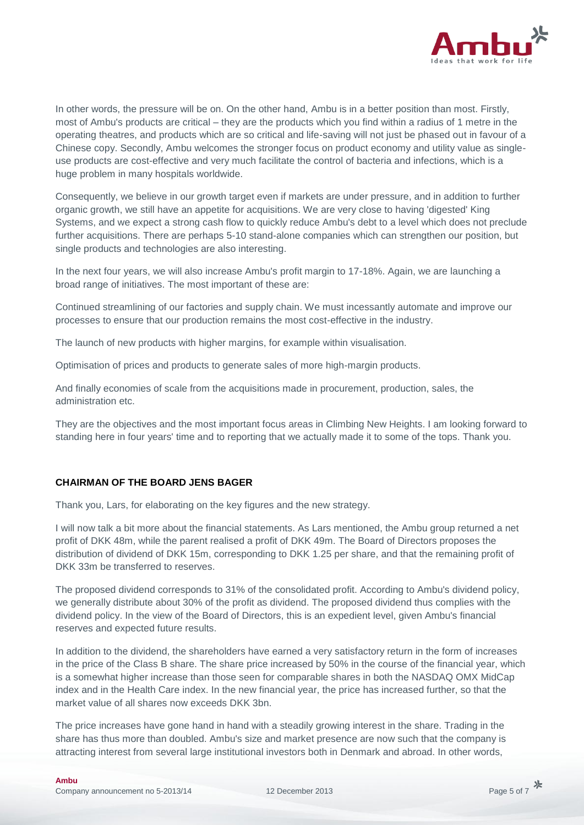

In other words, the pressure will be on. On the other hand, Ambu is in a better position than most. Firstly, most of Ambu's products are critical – they are the products which you find within a radius of 1 metre in the operating theatres, and products which are so critical and life-saving will not just be phased out in favour of a Chinese copy. Secondly, Ambu welcomes the stronger focus on product economy and utility value as singleuse products are cost-effective and very much facilitate the control of bacteria and infections, which is a huge problem in many hospitals worldwide.

Consequently, we believe in our growth target even if markets are under pressure, and in addition to further organic growth, we still have an appetite for acquisitions. We are very close to having 'digested' King Systems, and we expect a strong cash flow to quickly reduce Ambu's debt to a level which does not preclude further acquisitions. There are perhaps 5-10 stand-alone companies which can strengthen our position, but single products and technologies are also interesting.

In the next four years, we will also increase Ambu's profit margin to 17-18%. Again, we are launching a broad range of initiatives. The most important of these are:

Continued streamlining of our factories and supply chain. We must incessantly automate and improve our processes to ensure that our production remains the most cost-effective in the industry.

The launch of new products with higher margins, for example within visualisation.

Optimisation of prices and products to generate sales of more high-margin products.

And finally economies of scale from the acquisitions made in procurement, production, sales, the administration etc.

They are the objectives and the most important focus areas in Climbing New Heights. I am looking forward to standing here in four years' time and to reporting that we actually made it to some of the tops. Thank you.

#### **CHAIRMAN OF THE BOARD JENS BAGER**

Thank you, Lars, for elaborating on the key figures and the new strategy.

I will now talk a bit more about the financial statements. As Lars mentioned, the Ambu group returned a net profit of DKK 48m, while the parent realised a profit of DKK 49m. The Board of Directors proposes the distribution of dividend of DKK 15m, corresponding to DKK 1.25 per share, and that the remaining profit of DKK 33m be transferred to reserves

The proposed dividend corresponds to 31% of the consolidated profit. According to Ambu's dividend policy, we generally distribute about 30% of the profit as dividend. The proposed dividend thus complies with the dividend policy. In the view of the Board of Directors, this is an expedient level, given Ambu's financial reserves and expected future results.

In addition to the dividend, the shareholders have earned a very satisfactory return in the form of increases in the price of the Class B share. The share price increased by 50% in the course of the financial year, which is a somewhat higher increase than those seen for comparable shares in both the NASDAQ OMX MidCap index and in the Health Care index. In the new financial year, the price has increased further, so that the market value of all shares now exceeds DKK 3bn.

The price increases have gone hand in hand with a steadily growing interest in the share. Trading in the share has thus more than doubled. Ambu's size and market presence are now such that the company is attracting interest from several large institutional investors both in Denmark and abroad. In other words,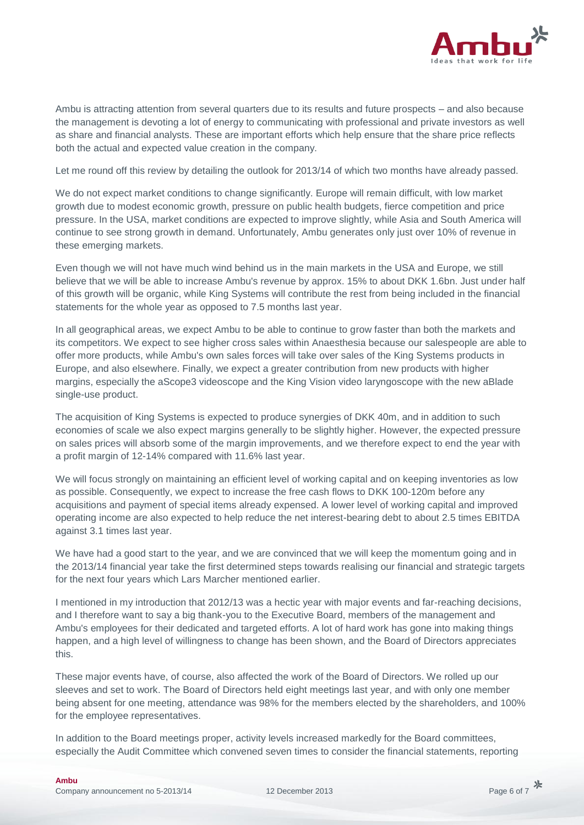

Ambu is attracting attention from several quarters due to its results and future prospects – and also because the management is devoting a lot of energy to communicating with professional and private investors as well as share and financial analysts. These are important efforts which help ensure that the share price reflects both the actual and expected value creation in the company.

Let me round off this review by detailing the outlook for 2013/14 of which two months have already passed.

We do not expect market conditions to change significantly. Europe will remain difficult, with low market growth due to modest economic growth, pressure on public health budgets, fierce competition and price pressure. In the USA, market conditions are expected to improve slightly, while Asia and South America will continue to see strong growth in demand. Unfortunately, Ambu generates only just over 10% of revenue in these emerging markets.

Even though we will not have much wind behind us in the main markets in the USA and Europe, we still believe that we will be able to increase Ambu's revenue by approx. 15% to about DKK 1.6bn. Just under half of this growth will be organic, while King Systems will contribute the rest from being included in the financial statements for the whole year as opposed to 7.5 months last year.

In all geographical areas, we expect Ambu to be able to continue to grow faster than both the markets and its competitors. We expect to see higher cross sales within Anaesthesia because our salespeople are able to offer more products, while Ambu's own sales forces will take over sales of the King Systems products in Europe, and also elsewhere. Finally, we expect a greater contribution from new products with higher margins, especially the aScope3 videoscope and the King Vision video laryngoscope with the new aBlade single-use product.

The acquisition of King Systems is expected to produce synergies of DKK 40m, and in addition to such economies of scale we also expect margins generally to be slightly higher. However, the expected pressure on sales prices will absorb some of the margin improvements, and we therefore expect to end the year with a profit margin of 12-14% compared with 11.6% last year.

We will focus strongly on maintaining an efficient level of working capital and on keeping inventories as low as possible. Consequently, we expect to increase the free cash flows to DKK 100-120m before any acquisitions and payment of special items already expensed. A lower level of working capital and improved operating income are also expected to help reduce the net interest-bearing debt to about 2.5 times EBITDA against 3.1 times last year.

We have had a good start to the year, and we are convinced that we will keep the momentum going and in the 2013/14 financial year take the first determined steps towards realising our financial and strategic targets for the next four years which Lars Marcher mentioned earlier.

I mentioned in my introduction that 2012/13 was a hectic year with major events and far-reaching decisions, and I therefore want to say a big thank-you to the Executive Board, members of the management and Ambu's employees for their dedicated and targeted efforts. A lot of hard work has gone into making things happen, and a high level of willingness to change has been shown, and the Board of Directors appreciates this.

These major events have, of course, also affected the work of the Board of Directors. We rolled up our sleeves and set to work. The Board of Directors held eight meetings last year, and with only one member being absent for one meeting, attendance was 98% for the members elected by the shareholders, and 100% for the employee representatives.

In addition to the Board meetings proper, activity levels increased markedly for the Board committees, especially the Audit Committee which convened seven times to consider the financial statements, reporting